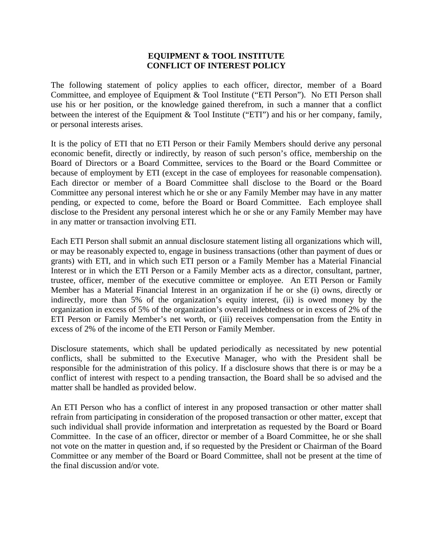## **EQUIPMENT & TOOL INSTITUTE CONFLICT OF INTEREST POLICY**

The following statement of policy applies to each officer, director, member of a Board Committee, and employee of Equipment & Tool Institute ("ETI Person"). No ETI Person shall use his or her position, or the knowledge gained therefrom, in such a manner that a conflict between the interest of the Equipment & Tool Institute ("ETI") and his or her company, family, or personal interests arises.

It is the policy of ETI that no ETI Person or their Family Members should derive any personal economic benefit, directly or indirectly, by reason of such person's office, membership on the Board of Directors or a Board Committee, services to the Board or the Board Committee or because of employment by ETI (except in the case of employees for reasonable compensation). Each director or member of a Board Committee shall disclose to the Board or the Board Committee any personal interest which he or she or any Family Member may have in any matter pending, or expected to come, before the Board or Board Committee. Each employee shall disclose to the President any personal interest which he or she or any Family Member may have in any matter or transaction involving ETI.

Each ETI Person shall submit an annual disclosure statement listing all organizations which will, or may be reasonably expected to, engage in business transactions (other than payment of dues or grants) with ETI, and in which such ETI person or a Family Member has a Material Financial Interest or in which the ETI Person or a Family Member acts as a director, consultant, partner, trustee, officer, member of the executive committee or employee. An ETI Person or Family Member has a Material Financial Interest in an organization if he or she (i) owns, directly or indirectly, more than 5% of the organization's equity interest, (ii) is owed money by the organization in excess of 5% of the organization's overall indebtedness or in excess of 2% of the ETI Person or Family Member's net worth, or (iii) receives compensation from the Entity in excess of 2% of the income of the ETI Person or Family Member.

Disclosure statements, which shall be updated periodically as necessitated by new potential conflicts, shall be submitted to the Executive Manager, who with the President shall be responsible for the administration of this policy. If a disclosure shows that there is or may be a conflict of interest with respect to a pending transaction, the Board shall be so advised and the matter shall be handled as provided below.

An ETI Person who has a conflict of interest in any proposed transaction or other matter shall refrain from participating in consideration of the proposed transaction or other matter, except that such individual shall provide information and interpretation as requested by the Board or Board Committee. In the case of an officer, director or member of a Board Committee, he or she shall not vote on the matter in question and, if so requested by the President or Chairman of the Board Committee or any member of the Board or Board Committee, shall not be present at the time of the final discussion and/or vote.